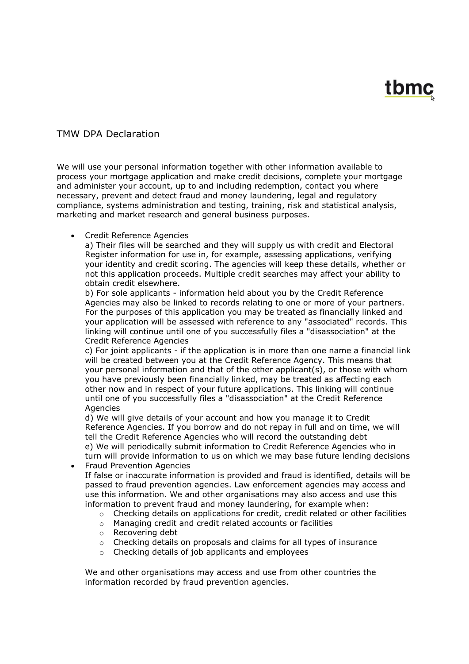## tbmc

## TMW DPA Declaration

We will use your personal information together with other information available to process your mortgage application and make credit decisions, complete your mortgage and administer your account, up to and including redemption, contact you where necessary, prevent and detect fraud and money laundering, legal and regulatory compliance, systems administration and testing, training, risk and statistical analysis, marketing and market research and general business purposes.

## Credit Reference Agencies

a) Their files will be searched and they will supply us with credit and Electoral Register information for use in, for example, assessing applications, verifying your identity and credit scoring. The agencies will keep these details, whether or not this application proceeds. Multiple credit searches may affect your ability to obtain credit elsewhere.

b) For sole applicants - information held about you by the Credit Reference Agencies may also be linked to records relating to one or more of your partners. For the purposes of this application you may be treated as financially linked and your application will be assessed with reference to any "associated" records. This linking will continue until one of you successfully files a "disassociation" at the Credit Reference Agencies

c) For joint applicants - if the application is in more than one name a financial link will be created between you at the Credit Reference Agency. This means that your personal information and that of the other applicant(s), or those with whom you have previously been financially linked, may be treated as affecting each other now and in respect of your future applications. This linking will continue until one of you successfully files a "disassociation" at the Credit Reference Agencies

d) We will give details of your account and how you manage it to Credit Reference Agencies. If you borrow and do not repay in full and on time, we will tell the Credit Reference Agencies who will record the outstanding debt e) We will periodically submit information to Credit Reference Agencies who in turn will provide information to us on which we may base future lending decisions

• Fraud Prevention Agencies

If false or inaccurate information is provided and fraud is identified, details will be passed to fraud prevention agencies. Law enforcement agencies may access and use this information. We and other organisations may also access and use this information to prevent fraud and money laundering, for example when:

- $\circ$  Checking details on applications for credit, credit related or other facilities
- o Managing credit and credit related accounts or facilities
- o Recovering debt
- $\circ$  Checking details on proposals and claims for all types of insurance
- o Checking details of job applicants and employees

We and other organisations may access and use from other countries the information recorded by fraud prevention agencies.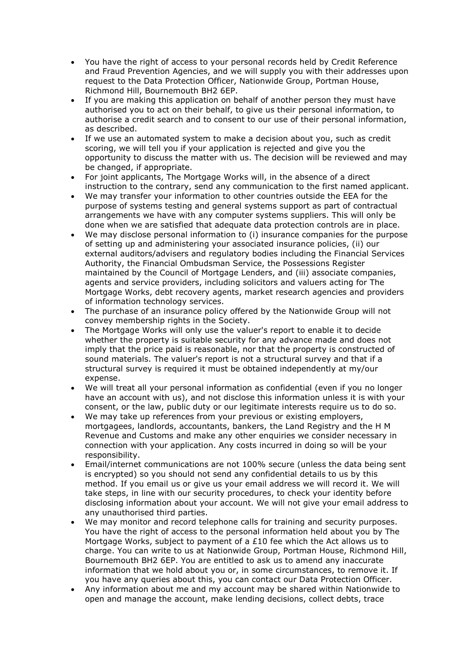- You have the right of access to your personal records held by Credit Reference and Fraud Prevention Agencies, and we will supply you with their addresses upon request to the Data Protection Officer, Nationwide Group, Portman House, Richmond Hill, Bournemouth BH2 6EP.
- If you are making this application on behalf of another person they must have authorised you to act on their behalf, to give us their personal information, to authorise a credit search and to consent to our use of their personal information, as described.
- If we use an automated system to make a decision about you, such as credit scoring, we will tell you if your application is rejected and give you the opportunity to discuss the matter with us. The decision will be reviewed and may be changed, if appropriate.
- For joint applicants, The Mortgage Works will, in the absence of a direct instruction to the contrary, send any communication to the first named applicant.
- We may transfer your information to other countries outside the EEA for the purpose of systems testing and general systems support as part of contractual arrangements we have with any computer systems suppliers. This will only be done when we are satisfied that adequate data protection controls are in place.
- We may disclose personal information to (i) insurance companies for the purpose of setting up and administering your associated insurance policies, (ii) our external auditors/advisers and regulatory bodies including the Financial Services Authority, the Financial Ombudsman Service, the Possessions Register maintained by the Council of Mortgage Lenders, and (iii) associate companies, agents and service providers, including solicitors and valuers acting for The Mortgage Works, debt recovery agents, market research agencies and providers of information technology services.
- The purchase of an insurance policy offered by the Nationwide Group will not convey membership rights in the Society.
- The Mortgage Works will only use the valuer's report to enable it to decide whether the property is suitable security for any advance made and does not imply that the price paid is reasonable, nor that the property is constructed of sound materials. The valuer's report is not a structural survey and that if a structural survey is required it must be obtained independently at my/our expense.
- We will treat all your personal information as confidential (even if you no longer have an account with us), and not disclose this information unless it is with your consent, or the law, public duty or our legitimate interests require us to do so.
- We may take up references from your previous or existing employers, mortgagees, landlords, accountants, bankers, the Land Registry and the H M Revenue and Customs and make any other enquiries we consider necessary in connection with your application. Any costs incurred in doing so will be your responsibility.
- Email/internet communications are not 100% secure (unless the data being sent is encrypted) so you should not send any confidential details to us by this method. If you email us or give us your email address we will record it. We will take steps, in line with our security procedures, to check your identity before disclosing information about your account. We will not give your email address to any unauthorised third parties.
- We may monitor and record telephone calls for training and security purposes. You have the right of access to the personal information held about you by The Mortgage Works, subject to payment of a £10 fee which the Act allows us to charge. You can write to us at Nationwide Group, Portman House, Richmond Hill, Bournemouth BH2 6EP. You are entitled to ask us to amend any inaccurate information that we hold about you or, in some circumstances, to remove it. If you have any queries about this, you can contact our Data Protection Officer.
- Any information about me and my account may be shared within Nationwide to open and manage the account, make lending decisions, collect debts, trace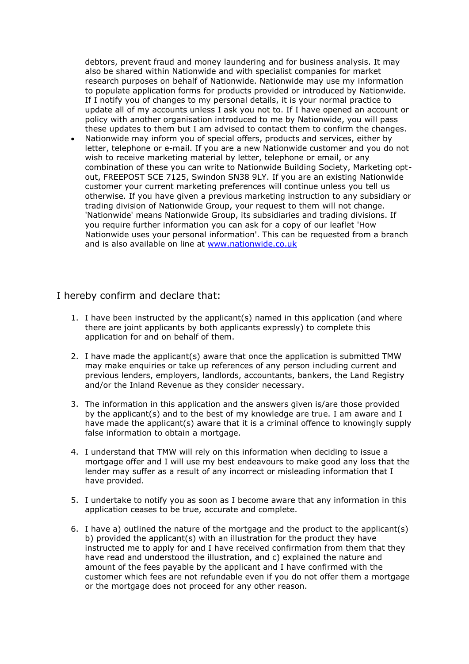debtors, prevent fraud and money laundering and for business analysis. It may also be shared within Nationwide and with specialist companies for market research purposes on behalf of Nationwide. Nationwide may use my information to populate application forms for products provided or introduced by Nationwide. If I notify you of changes to my personal details, it is your normal practice to update all of my accounts unless I ask you not to. If I have opened an account or policy with another organisation introduced to me by Nationwide, you will pass these updates to them but I am advised to contact them to confirm the changes.

 Nationwide may inform you of special offers, products and services, either by letter, telephone or e-mail. If you are a new Nationwide customer and you do not wish to receive marketing material by letter, telephone or email, or any combination of these you can write to Nationwide Building Society, Marketing optout, FREEPOST SCE 7125, Swindon SN38 9LY. If you are an existing Nationwide customer your current marketing preferences will continue unless you tell us otherwise. If you have given a previous marketing instruction to any subsidiary or trading division of Nationwide Group, your request to them will not change. 'Nationwide' means Nationwide Group, its subsidiaries and trading divisions. If you require further information you can ask for a copy of our leaflet 'How Nationwide uses your personal information'. This can be requested from a branch and is also available on line at [www.nationwide.co.uk](http://www.nationwide.co.uk/)

## I hereby confirm and declare that:

- 1. I have been instructed by the applicant(s) named in this application (and where there are joint applicants by both applicants expressly) to complete this application for and on behalf of them.
- 2. I have made the applicant(s) aware that once the application is submitted TMW may make enquiries or take up references of any person including current and previous lenders, employers, landlords, accountants, bankers, the Land Registry and/or the Inland Revenue as they consider necessary.
- 3. The information in this application and the answers given is/are those provided by the applicant(s) and to the best of my knowledge are true. I am aware and I have made the applicant(s) aware that it is a criminal offence to knowingly supply false information to obtain a mortgage.
- 4. I understand that TMW will rely on this information when deciding to issue a mortgage offer and I will use my best endeavours to make good any loss that the lender may suffer as a result of any incorrect or misleading information that I have provided.
- 5. I undertake to notify you as soon as I become aware that any information in this application ceases to be true, accurate and complete.
- 6. I have a) outlined the nature of the mortgage and the product to the applicant(s) b) provided the applicant(s) with an illustration for the product they have instructed me to apply for and I have received confirmation from them that they have read and understood the illustration, and c) explained the nature and amount of the fees payable by the applicant and I have confirmed with the customer which fees are not refundable even if you do not offer them a mortgage or the mortgage does not proceed for any other reason.